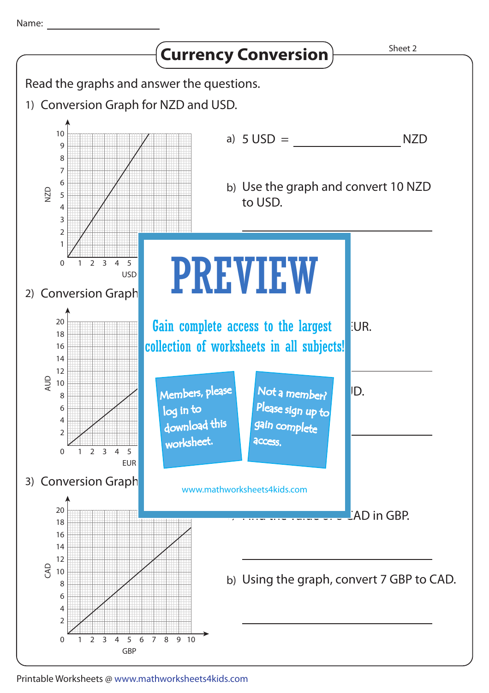